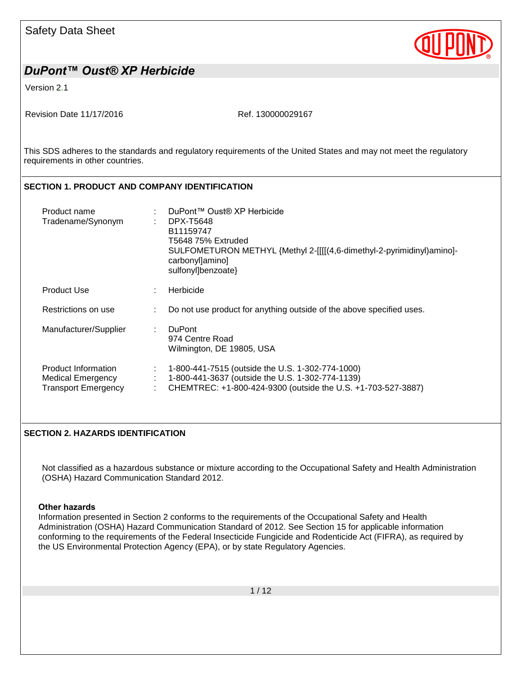Version 2.1

Revision Date 11/17/2016 Ref. 130000029167

This SDS adheres to the standards and regulatory requirements of the United States and may not meet the regulatory requirements in other countries.

#### **SECTION 1. PRODUCT AND COMPANY IDENTIFICATION**

| Product name<br>Tradename/Synonym                                             |   | DuPont™ Oust® XP Herbicide<br>DPX-T5648<br>B11159747<br>T5648 75% Extruded<br>SULFOMETURON METHYL {Methyl 2-[[[[(4,6-dimethyl-2-pyrimidinyl)amino]-<br>carbonyl]amino]<br>sulfonyl]benzoate} |
|-------------------------------------------------------------------------------|---|----------------------------------------------------------------------------------------------------------------------------------------------------------------------------------------------|
| Product Use                                                                   |   | Herbicide                                                                                                                                                                                    |
| Restrictions on use                                                           |   | Do not use product for anything outside of the above specified uses.                                                                                                                         |
| Manufacturer/Supplier                                                         | ÷ | <b>DuPont</b><br>974 Centre Road<br>Wilmington, DE 19805, USA                                                                                                                                |
| Product Information<br><b>Medical Emergency</b><br><b>Transport Emergency</b> | ÷ | 1-800-441-7515 (outside the U.S. 1-302-774-1000)<br>1-800-441-3637 (outside the U.S. 1-302-774-1139)<br>CHEMTREC: +1-800-424-9300 (outside the U.S. +1-703-527-3887)                         |

#### **SECTION 2. HAZARDS IDENTIFICATION**

Not classified as a hazardous substance or mixture according to the Occupational Safety and Health Administration (OSHA) Hazard Communication Standard 2012.

#### **Other hazards**

Information presented in Section 2 conforms to the requirements of the Occupational Safety and Health Administration (OSHA) Hazard Communication Standard of 2012. See Section 15 for applicable information conforming to the requirements of the Federal Insecticide Fungicide and Rodenticide Act (FIFRA), as required by the US Environmental Protection Agency (EPA), or by state Regulatory Agencies.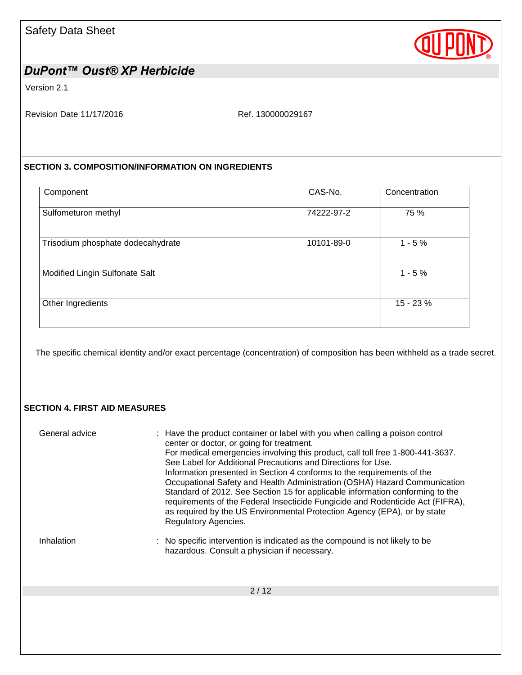

Version 2.1

Revision Date 11/17/2016 Ref. 130000029167

#### **SECTION 3. COMPOSITION/INFORMATION ON INGREDIENTS**

| Component                         | CAS-No.    | Concentration |
|-----------------------------------|------------|---------------|
| Sulfometuron methyl               | 74222-97-2 | 75 %          |
| Trisodium phosphate dodecahydrate | 10101-89-0 | $1 - 5%$      |
| Modified Lingin Sulfonate Salt    |            | $1 - 5%$      |
| Other Ingredients                 |            | 15 - 23 %     |

The specific chemical identity and/or exact percentage (concentration) of composition has been withheld as a trade secret.

#### **SECTION 4. FIRST AID MEASURES**

| General advice | : Have the product container or label with you when calling a poison control<br>center or doctor, or going for treatment.<br>For medical emergencies involving this product, call toll free 1-800-441-3637.<br>See Label for Additional Precautions and Directions for Use.<br>Information presented in Section 4 conforms to the requirements of the<br>Occupational Safety and Health Administration (OSHA) Hazard Communication<br>Standard of 2012. See Section 15 for applicable information conforming to the<br>requirements of the Federal Insecticide Fungicide and Rodenticide Act (FIFRA),<br>as required by the US Environmental Protection Agency (EPA), or by state<br>Regulatory Agencies. |
|----------------|-----------------------------------------------------------------------------------------------------------------------------------------------------------------------------------------------------------------------------------------------------------------------------------------------------------------------------------------------------------------------------------------------------------------------------------------------------------------------------------------------------------------------------------------------------------------------------------------------------------------------------------------------------------------------------------------------------------|
| Inhalation     | : No specific intervention is indicated as the compound is not likely to be<br>hazardous. Consult a physician if necessary.                                                                                                                                                                                                                                                                                                                                                                                                                                                                                                                                                                               |
|                | 2/12                                                                                                                                                                                                                                                                                                                                                                                                                                                                                                                                                                                                                                                                                                      |
|                |                                                                                                                                                                                                                                                                                                                                                                                                                                                                                                                                                                                                                                                                                                           |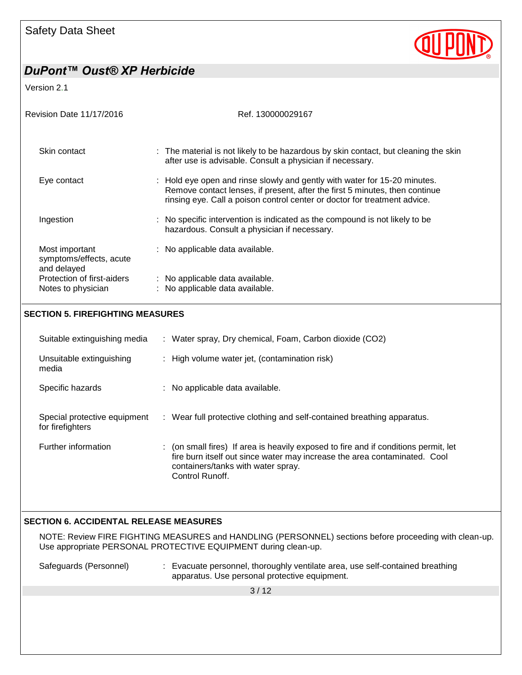# OU

# *DuPont™ Oust® XP Herbicide*

Version 2.1

| <b>Revision Date 11/17/2016</b>                          | Ref. 130000029167                                                                                                                                                                                                                     |
|----------------------------------------------------------|---------------------------------------------------------------------------------------------------------------------------------------------------------------------------------------------------------------------------------------|
| Skin contact                                             | : The material is not likely to be hazardous by skin contact, but cleaning the skin<br>after use is advisable. Consult a physician if necessary.                                                                                      |
| Eye contact                                              | : Hold eye open and rinse slowly and gently with water for 15-20 minutes.<br>Remove contact lenses, if present, after the first 5 minutes, then continue<br>rinsing eye. Call a poison control center or doctor for treatment advice. |
| Ingestion                                                | : No specific intervention is indicated as the compound is not likely to be<br>hazardous. Consult a physician if necessary.                                                                                                           |
| Most important<br>symptoms/effects, acute<br>and delayed | : No applicable data available.                                                                                                                                                                                                       |
| Protection of first-aiders                               | : No applicable data available.                                                                                                                                                                                                       |
| Notes to physician                                       | : No applicable data available.                                                                                                                                                                                                       |
| <b>SECTION 5. FIREFIGHTING MEASURES</b>                  |                                                                                                                                                                                                                                       |
| Suitable extinguishing media                             | : Water spray, Dry chemical, Foam, Carbon dioxide (CO2)                                                                                                                                                                               |

|                                                  | $\ldots$ . There is opter, by other meeting equity consent along $\sigma = \sigma$                                                                                                                                            |
|--------------------------------------------------|-------------------------------------------------------------------------------------------------------------------------------------------------------------------------------------------------------------------------------|
| Unsuitable extinguishing<br>media                | : High volume water jet, (contamination risk)                                                                                                                                                                                 |
| Specific hazards                                 | : No applicable data available.                                                                                                                                                                                               |
| Special protective equipment<br>for firefighters | : Wear full protective clothing and self-contained breathing apparatus.                                                                                                                                                       |
| Further information                              | (on small fires) If area is heavily exposed to fire and if conditions permit, let<br>t.<br>fire burn itself out since water may increase the area contaminated. Cool<br>containers/tanks with water spray.<br>Control Runoff. |

### **SECTION 6. ACCIDENTAL RELEASE MEASURES**

NOTE: Review FIRE FIGHTING MEASURES and HANDLING (PERSONNEL) sections before proceeding with clean-up. Use appropriate PERSONAL PROTECTIVE EQUIPMENT during clean-up.

| Safeguards (Personnel) | : Evacuate personnel, thoroughly ventilate area, use self-contained breathing |
|------------------------|-------------------------------------------------------------------------------|
|                        | apparatus. Use personal protective equipment.                                 |

3 / 12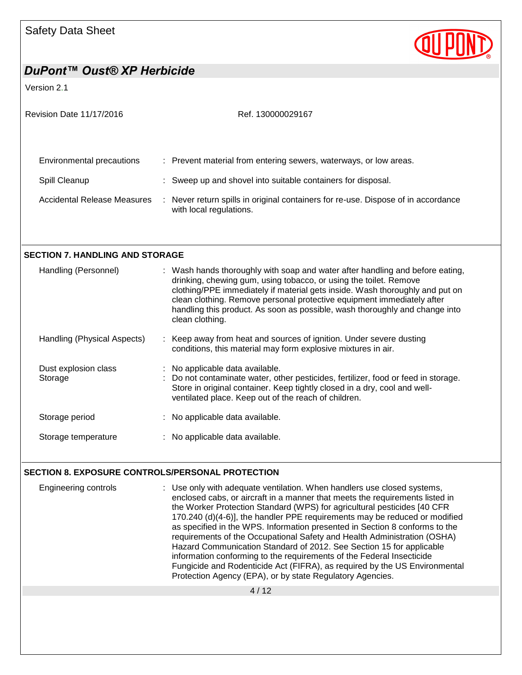

Version 2.1

| <b>Revision Date 11/17/2016</b>                         | Ref. 130000029167                                                                                                                                                                                                                                                                                                                                                                                              |
|---------------------------------------------------------|----------------------------------------------------------------------------------------------------------------------------------------------------------------------------------------------------------------------------------------------------------------------------------------------------------------------------------------------------------------------------------------------------------------|
| Environmental precautions                               | : Prevent material from entering sewers, waterways, or low areas.                                                                                                                                                                                                                                                                                                                                              |
|                                                         |                                                                                                                                                                                                                                                                                                                                                                                                                |
| Spill Cleanup                                           | : Sweep up and shovel into suitable containers for disposal.                                                                                                                                                                                                                                                                                                                                                   |
| Accidental Release Measures                             | : Never return spills in original containers for re-use. Dispose of in accordance<br>with local regulations.                                                                                                                                                                                                                                                                                                   |
|                                                         |                                                                                                                                                                                                                                                                                                                                                                                                                |
| <b>SECTION 7. HANDLING AND STORAGE</b>                  |                                                                                                                                                                                                                                                                                                                                                                                                                |
| Handling (Personnel)                                    | : Wash hands thoroughly with soap and water after handling and before eating,<br>drinking, chewing gum, using tobacco, or using the toilet. Remove<br>clothing/PPE immediately if material gets inside. Wash thoroughly and put on<br>clean clothing. Remove personal protective equipment immediately after<br>handling this product. As soon as possible, wash thoroughly and change into<br>clean clothing. |
| Handling (Physical Aspects)                             | : Keep away from heat and sources of ignition. Under severe dusting<br>conditions, this material may form explosive mixtures in air.                                                                                                                                                                                                                                                                           |
| Dust explosion class<br>Storage                         | : No applicable data available.<br>Do not contaminate water, other pesticides, fertilizer, food or feed in storage.<br>Store in original container. Keep tightly closed in a dry, cool and well-<br>ventilated place. Keep out of the reach of children.                                                                                                                                                       |
| Storage period                                          | : No applicable data available.                                                                                                                                                                                                                                                                                                                                                                                |
| Storage temperature                                     | : No applicable data available.                                                                                                                                                                                                                                                                                                                                                                                |
| <b>SECTION 8. EXPOSURE CONTROLS/PERSONAL PROTECTION</b> |                                                                                                                                                                                                                                                                                                                                                                                                                |
| <b>Engineering controls</b>                             | : Use only with adequate ventilation. When handlers use closed systems,<br>enclosed cabs, or aircraft in a manner that meets the requirements listed in                                                                                                                                                                                                                                                        |

4 / 12 the Worker Protection Standard (WPS) for agricultural pesticides [40 CFR 170.240 (d)(4-6)], the handler PPE requirements may be reduced or modified as specified in the WPS. Information presented in Section 8 conforms to the requirements of the Occupational Safety and Health Administration (OSHA) Hazard Communication Standard of 2012. See Section 15 for applicable information conforming to the requirements of the Federal Insecticide Fungicide and Rodenticide Act (FIFRA), as required by the US Environmental Protection Agency (EPA), or by state Regulatory Agencies.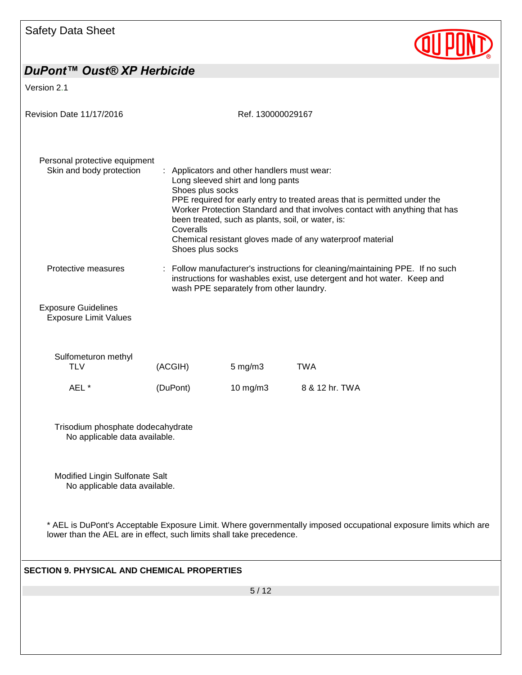

Version 2.1

| Revision Date 11/17/2016                                             |                                                   | Ref. 130000029167                                                                                                                     |                                                                                                                                                                                                                       |
|----------------------------------------------------------------------|---------------------------------------------------|---------------------------------------------------------------------------------------------------------------------------------------|-----------------------------------------------------------------------------------------------------------------------------------------------------------------------------------------------------------------------|
| Personal protective equipment<br>Skin and body protection            | Shoes plus socks<br>Coveralls<br>Shoes plus socks | : Applicators and other handlers must wear:<br>Long sleeved shirt and long pants<br>been treated, such as plants, soil, or water, is: | PPE required for early entry to treated areas that is permitted under the<br>Worker Protection Standard and that involves contact with anything that has<br>Chemical resistant gloves made of any waterproof material |
| Protective measures                                                  |                                                   | wash PPE separately from other laundry.                                                                                               | : Follow manufacturer's instructions for cleaning/maintaining PPE. If no such<br>instructions for washables exist, use detergent and hot water. Keep and                                                              |
| <b>Exposure Guidelines</b><br><b>Exposure Limit Values</b>           |                                                   |                                                                                                                                       |                                                                                                                                                                                                                       |
| Sulfometuron methyl<br><b>TLV</b>                                    | (ACGIH)                                           | $5 \text{ mg/m}$ 3                                                                                                                    | <b>TWA</b>                                                                                                                                                                                                            |
| AEL *                                                                | (DuPont)                                          | 10 mg/m3                                                                                                                              | 8 & 12 hr. TWA                                                                                                                                                                                                        |
| Trisodium phosphate dodecahydrate<br>No applicable data available.   |                                                   |                                                                                                                                       |                                                                                                                                                                                                                       |
| Modified Lingin Sulfonate Salt<br>No applicable data available.      |                                                   |                                                                                                                                       |                                                                                                                                                                                                                       |
| lower than the AEL are in effect, such limits shall take precedence. |                                                   |                                                                                                                                       | * AEL is DuPont's Acceptable Exposure Limit. Where governmentally imposed occupational exposure limits which are                                                                                                      |
| <b>SECTION 9. PHYSICAL AND CHEMICAL PROPERTIES</b>                   |                                                   |                                                                                                                                       |                                                                                                                                                                                                                       |
|                                                                      |                                                   | 5/12                                                                                                                                  |                                                                                                                                                                                                                       |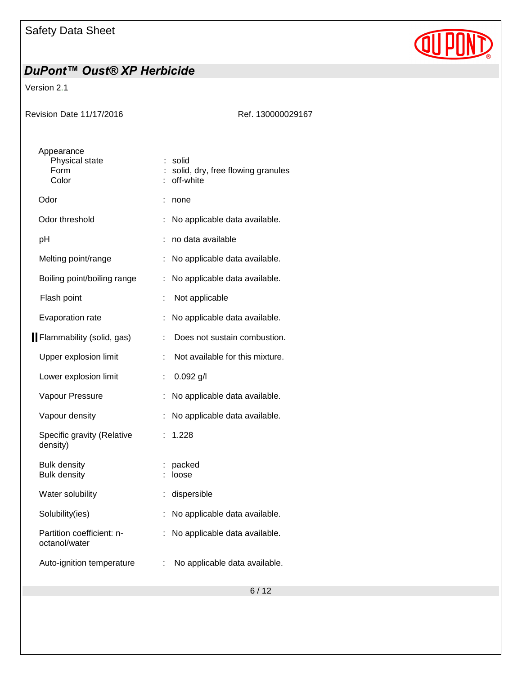

Version 2.1

| Revision Date 11/17/2016                      | Ref. 130000029167                                       |
|-----------------------------------------------|---------------------------------------------------------|
| Appearance<br>Physical state<br>Form<br>Color | solid<br>solid, dry, free flowing granules<br>off-white |
| Odor                                          | none                                                    |
| Odor threshold                                | No applicable data available.                           |
| pH                                            | no data available                                       |
| Melting point/range                           | No applicable data available.                           |
| Boiling point/boiling range                   | No applicable data available.                           |
| Flash point                                   | Not applicable                                          |
| Evaporation rate                              | No applicable data available.                           |
| Flammability (solid, gas)                     | Does not sustain combustion.                            |
| Upper explosion limit                         | Not available for this mixture.                         |
| Lower explosion limit                         | $0.092$ g/l<br>÷                                        |
| Vapour Pressure                               | No applicable data available.                           |
| Vapour density                                | No applicable data available.                           |
| Specific gravity (Relative<br>density)        | 1.228                                                   |
| <b>Bulk density</b><br><b>Bulk density</b>    | packed<br>loose                                         |
| Water solubility                              | dispersible                                             |
| Solubility(ies)                               | No applicable data available.                           |
| Partition coefficient: n-<br>octanol/water    | No applicable data available.                           |
| Auto-ignition temperature                     | No applicable data available.<br>÷                      |
|                                               |                                                         |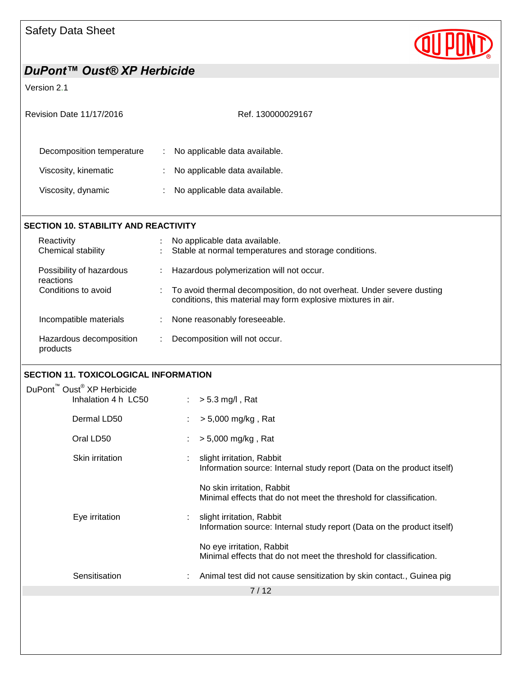

#### Version 2.1

| Revision Date 11/17/2016                          |          | Ref. 130000029167                                              |
|---------------------------------------------------|----------|----------------------------------------------------------------|
| Decomposition temperature<br>Viscosity, kinematic | ÷.<br>÷. | No applicable data available.<br>No applicable data available. |
| Viscosity, dynamic                                | ÷        | No applicable data available.                                  |
| <b>SECTION 10. STABILITY AND REACTIVITY</b>       |          |                                                                |
| Reactivity                                        |          | No applicable data available.                                  |

| Chemical stability                    |                | Stable at normal temperatures and storage conditions.                                                                                    |
|---------------------------------------|----------------|------------------------------------------------------------------------------------------------------------------------------------------|
| Possibility of hazardous<br>reactions | $\mathbb{R}^n$ | Hazardous polymerization will not occur.                                                                                                 |
| Conditions to avoid                   |                | : To avoid thermal decomposition, do not overheat. Under severe dusting<br>conditions, this material may form explosive mixtures in air. |
| Incompatible materials                |                | None reasonably foreseeable.                                                                                                             |
| Hazardous decomposition<br>products   |                | Decomposition will not occur.                                                                                                            |

#### **SECTION 11. TOXICOLOGICAL INFORMATION**

| DuPont <sup>™</sup> Oust <sup>®</sup> XP Herbicide |                     |  |                                                                                                     |  |  |
|----------------------------------------------------|---------------------|--|-----------------------------------------------------------------------------------------------------|--|--|
|                                                    | Inhalation 4 h LC50 |  | $> 5.3$ mg/l, Rat                                                                                   |  |  |
|                                                    | Dermal LD50         |  | $> 5,000$ mg/kg, Rat                                                                                |  |  |
|                                                    | Oral LD50           |  | $> 5,000$ mg/kg, Rat                                                                                |  |  |
|                                                    | Skin irritation     |  | slight irritation, Rabbit<br>Information source: Internal study report (Data on the product itself) |  |  |
|                                                    |                     |  | No skin irritation, Rabbit<br>Minimal effects that do not meet the threshold for classification.    |  |  |
|                                                    | Eye irritation      |  | slight irritation, Rabbit<br>Information source: Internal study report (Data on the product itself) |  |  |
|                                                    |                     |  | No eye irritation, Rabbit<br>Minimal effects that do not meet the threshold for classification.     |  |  |
|                                                    | Sensitisation       |  | Animal test did not cause sensitization by skin contact., Guinea pig                                |  |  |
|                                                    |                     |  | 7/12                                                                                                |  |  |
|                                                    |                     |  |                                                                                                     |  |  |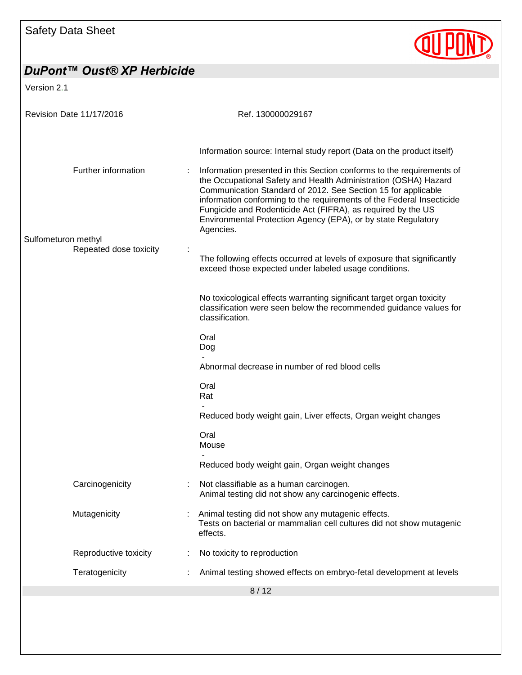

| Version 2.1                                   |                                                                                                                                                                                                                                                                                                                                                                                                                                  |
|-----------------------------------------------|----------------------------------------------------------------------------------------------------------------------------------------------------------------------------------------------------------------------------------------------------------------------------------------------------------------------------------------------------------------------------------------------------------------------------------|
| Revision Date 11/17/2016                      | Ref. 130000029167                                                                                                                                                                                                                                                                                                                                                                                                                |
|                                               | Information source: Internal study report (Data on the product itself)                                                                                                                                                                                                                                                                                                                                                           |
| Further information                           | Information presented in this Section conforms to the requirements of<br>the Occupational Safety and Health Administration (OSHA) Hazard<br>Communication Standard of 2012. See Section 15 for applicable<br>information conforming to the requirements of the Federal Insecticide<br>Fungicide and Rodenticide Act (FIFRA), as required by the US<br>Environmental Protection Agency (EPA), or by state Regulatory<br>Agencies. |
| Sulfometuron methyl<br>Repeated dose toxicity | The following effects occurred at levels of exposure that significantly<br>exceed those expected under labeled usage conditions.                                                                                                                                                                                                                                                                                                 |
|                                               | No toxicological effects warranting significant target organ toxicity<br>classification were seen below the recommended guidance values for<br>classification.                                                                                                                                                                                                                                                                   |
|                                               | Oral<br>Dog                                                                                                                                                                                                                                                                                                                                                                                                                      |
|                                               | Abnormal decrease in number of red blood cells                                                                                                                                                                                                                                                                                                                                                                                   |
|                                               | Oral<br>Rat                                                                                                                                                                                                                                                                                                                                                                                                                      |
|                                               | Reduced body weight gain, Liver effects, Organ weight changes                                                                                                                                                                                                                                                                                                                                                                    |
|                                               | Oral<br>Mouse                                                                                                                                                                                                                                                                                                                                                                                                                    |
|                                               | Reduced body weight gain, Organ weight changes                                                                                                                                                                                                                                                                                                                                                                                   |
| Carcinogenicity                               | Not classifiable as a human carcinogen.<br>Animal testing did not show any carcinogenic effects.                                                                                                                                                                                                                                                                                                                                 |
| Mutagenicity                                  | Animal testing did not show any mutagenic effects.<br>Tests on bacterial or mammalian cell cultures did not show mutagenic<br>effects.                                                                                                                                                                                                                                                                                           |
| Reproductive toxicity                         | No toxicity to reproduction                                                                                                                                                                                                                                                                                                                                                                                                      |
| Teratogenicity                                | Animal testing showed effects on embryo-fetal development at levels                                                                                                                                                                                                                                                                                                                                                              |
|                                               | 8/12                                                                                                                                                                                                                                                                                                                                                                                                                             |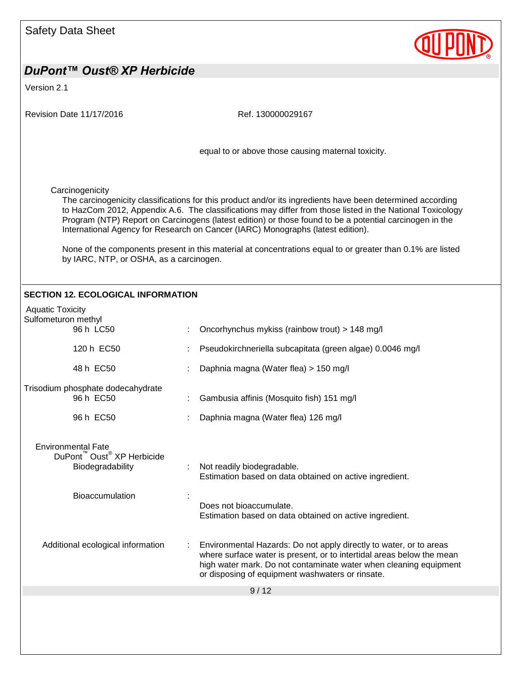

Version 2.1

Revision Date 11/17/2016 **Ref. 130000029167** 9 / 12 equal to or above those causing maternal toxicity. **Carcinogenicity** The carcinogenicity classifications for this product and/or its ingredients have been determined according to HazCom 2012, Appendix A.6. The classifications may differ from those listed in the National Toxicology Program (NTP) Report on Carcinogens (latest edition) or those found to be a potential carcinogen in the International Agency for Research on Cancer (IARC) Monographs (latest edition). None of the components present in this material at concentrations equal to or greater than 0.1% are listed by IARC, NTP, or OSHA, as a carcinogen. **SECTION 12. ECOLOGICAL INFORMATION** Aquatic Toxicity Sulfometuron methyl 96 h LC50 : Oncorhynchus mykiss (rainbow trout) > 148 mg/l 120 h EC50 : Pseudokirchneriella subcapitata (green algae) 0.0046 mg/l 48 h EC50 : Daphnia magna (Water flea) > 150 mg/l Trisodium phosphate dodecahydrate 96 h EC50 : Gambusia affinis (Mosquito fish) 151 mg/l 96 h EC50 : Daphnia magna (Water flea) 126 mg/l Environmental Fate DuPont™ Oust® XP Herbicide Biodegradability : Not readily biodegradable. Estimation based on data obtained on active ingredient. Bioaccumulation : Does not bioaccumulate. Estimation based on data obtained on active ingredient. Additional ecological information : Environmental Hazards: Do not apply directly to water, or to areas where surface water is present, or to intertidal areas below the mean high water mark. Do not contaminate water when cleaning equipment or disposing of equipment washwaters or rinsate.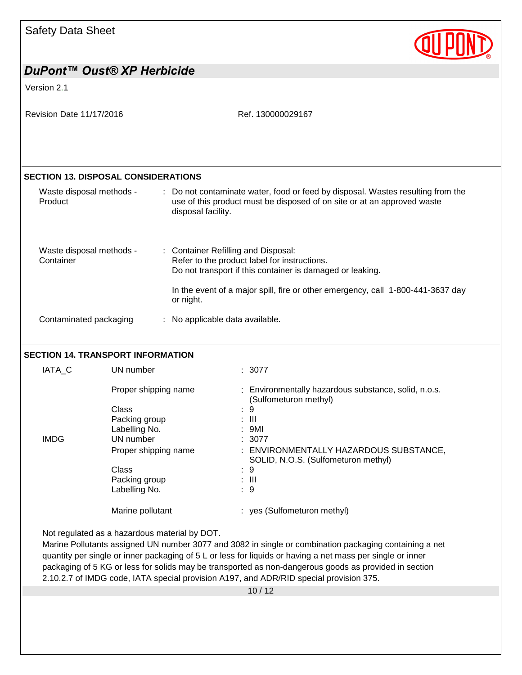

# *DuPont™ Oust® XP Herbicide* Version 2.1 Revision Date 11/17/2016 **Ref. 130000029167** 10 / 12 **SECTION 13. DISPOSAL CONSIDERATIONS** Waste disposal methods - Product : Do not contaminate water, food or feed by disposal. Wastes resulting from the use of this product must be disposed of on site or at an approved waste disposal facility. Waste disposal methods - Container : Container Refilling and Disposal: Refer to the product label for instructions. Do not transport if this container is damaged or leaking. In the event of a major spill, fire or other emergency, call 1-800-441-3637 day or night. Contaminated packaging : No applicable data available. **SECTION 14. TRANSPORT INFORMATION** IATA\_C UN number : 3077 Proper shipping name : Environmentally hazardous substance, solid, n.o.s. (Sulfometuron methyl) Class : 9<br>Packing group : 111 Packing group Labelling No. : 9MI IMDG UN number : 3077 Proper shipping name : ENVIRONMENTALLY HAZARDOUS SUBSTANCE, SOLID, N.O.S. (Sulfometuron methyl) Class : 9 Packing group : III Labelling No. 1997 Marine pollutant : yes (Sulfometuron methyl) Not regulated as a hazardous material by DOT. Marine Pollutants assigned UN number 3077 and 3082 in single or combination packaging containing a net quantity per single or inner packaging of 5 L or less for liquids or having a net mass per single or inner packaging of 5 KG or less for solids may be transported as non-dangerous goods as provided in section 2.10.2.7 of IMDG code, IATA special provision A197, and ADR/RID special provision 375.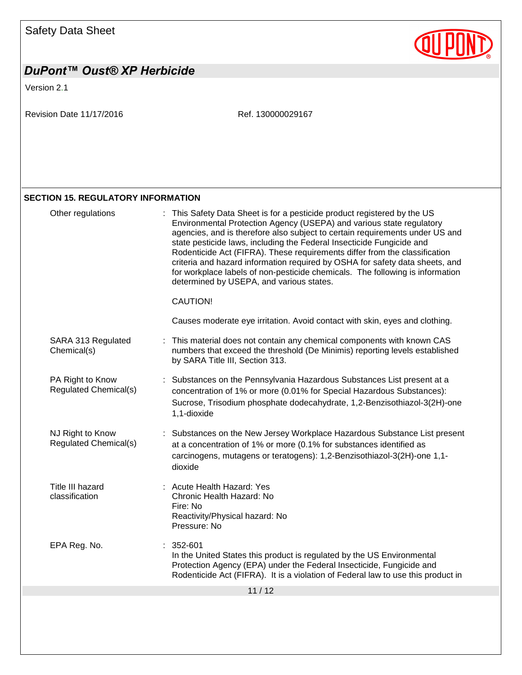

# *DuPont™ Oust® XP Herbicide* Version 2.1 Revision Date 11/17/2016 Ref. 130000029167

#### **SECTION 15. REGULATORY INFORMATION**

| Other regulations                                | : This Safety Data Sheet is for a pesticide product registered by the US<br>Environmental Protection Agency (USEPA) and various state regulatory<br>agencies, and is therefore also subject to certain requirements under US and<br>state pesticide laws, including the Federal Insecticide Fungicide and<br>Rodenticide Act (FIFRA). These requirements differ from the classification<br>criteria and hazard information required by OSHA for safety data sheets, and<br>for workplace labels of non-pesticide chemicals. The following is information<br>determined by USEPA, and various states.<br>CAUTION! |  |
|--------------------------------------------------|------------------------------------------------------------------------------------------------------------------------------------------------------------------------------------------------------------------------------------------------------------------------------------------------------------------------------------------------------------------------------------------------------------------------------------------------------------------------------------------------------------------------------------------------------------------------------------------------------------------|--|
|                                                  | Causes moderate eye irritation. Avoid contact with skin, eyes and clothing.                                                                                                                                                                                                                                                                                                                                                                                                                                                                                                                                      |  |
| SARA 313 Regulated<br>Chemical(s)                | This material does not contain any chemical components with known CAS<br>numbers that exceed the threshold (De Minimis) reporting levels established<br>by SARA Title III, Section 313.                                                                                                                                                                                                                                                                                                                                                                                                                          |  |
| PA Right to Know<br><b>Regulated Chemical(s)</b> | Substances on the Pennsylvania Hazardous Substances List present at a<br>concentration of 1% or more (0.01% for Special Hazardous Substances):<br>Sucrose, Trisodium phosphate dodecahydrate, 1,2-Benzisothiazol-3(2H)-one<br>1,1-dioxide                                                                                                                                                                                                                                                                                                                                                                        |  |
| NJ Right to Know<br>Regulated Chemical(s)        | Substances on the New Jersey Workplace Hazardous Substance List present<br>at a concentration of 1% or more (0.1% for substances identified as<br>carcinogens, mutagens or teratogens): 1,2-Benzisothiazol-3(2H)-one 1,1-<br>dioxide                                                                                                                                                                                                                                                                                                                                                                             |  |
| Title III hazard<br>classification               | : Acute Health Hazard: Yes<br>Chronic Health Hazard: No<br>Fire: No<br>Reactivity/Physical hazard: No<br>Pressure: No                                                                                                                                                                                                                                                                                                                                                                                                                                                                                            |  |
| EPA Reg. No.                                     | 352-601<br>In the United States this product is regulated by the US Environmental<br>Protection Agency (EPA) under the Federal Insecticide, Fungicide and<br>Rodenticide Act (FIFRA). It is a violation of Federal law to use this product in                                                                                                                                                                                                                                                                                                                                                                    |  |
| 11/12                                            |                                                                                                                                                                                                                                                                                                                                                                                                                                                                                                                                                                                                                  |  |
|                                                  |                                                                                                                                                                                                                                                                                                                                                                                                                                                                                                                                                                                                                  |  |